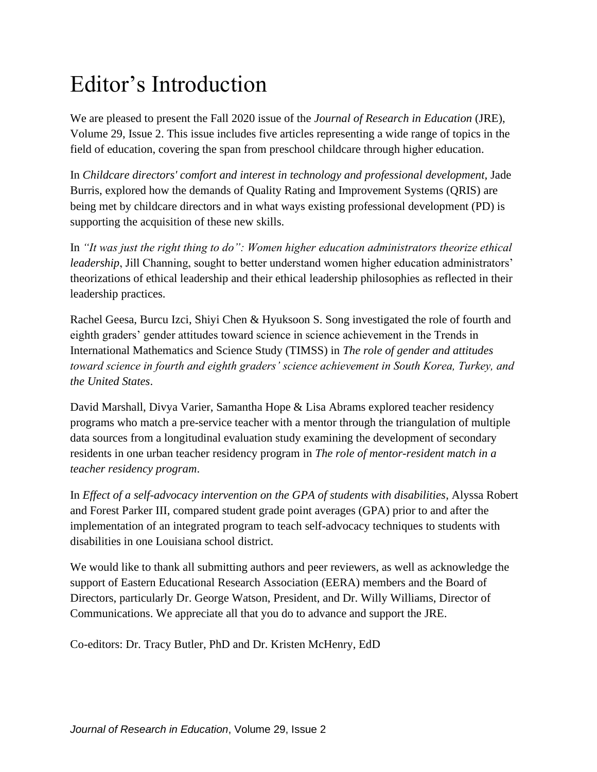## Editor's Introduction

We are pleased to present the Fall 2020 issue of the *Journal of Research in Education* (JRE), Volume 29, Issue 2. This issue includes five articles representing a wide range of topics in the field of education, covering the span from preschool childcare through higher education.

In *Childcare directors' comfort and interest in technology and professional development,* Jade Burris, explored how the demands of Quality Rating and Improvement Systems (QRIS) are being met by childcare directors and in what ways existing professional development (PD) is supporting the acquisition of these new skills.

In *"It was just the right thing to do": Women higher education administrators theorize ethical leadership*, Jill Channing, sought to better understand women higher education administrators' theorizations of ethical leadership and their ethical leadership philosophies as reflected in their leadership practices.

Rachel Geesa, Burcu Izci, Shiyi Chen & Hyuksoon S. Song investigated the role of fourth and eighth graders' gender attitudes toward science in science achievement in the Trends in International Mathematics and Science Study (TIMSS) in *The role of gender and attitudes toward science in fourth and eighth graders' science achievement in South Korea, Turkey, and the United States*.

David Marshall, Divya Varier, Samantha Hope & Lisa Abrams explored teacher residency programs who match a pre-service teacher with a mentor through the triangulation of multiple data sources from a longitudinal evaluation study examining the development of secondary residents in one urban teacher residency program in *The role of mentor-resident match in a teacher residency program*.

In *Effect of a self-advocacy intervention on the GPA of students with disabilities*, Alyssa Robert and Forest Parker III, compared student grade point averages (GPA) prior to and after the implementation of an integrated program to teach self-advocacy techniques to students with disabilities in one Louisiana school district.

We would like to thank all submitting authors and peer reviewers, as well as acknowledge the support of Eastern Educational Research Association (EERA) members and the Board of Directors, particularly Dr. George Watson, President, and Dr. Willy Williams, Director of Communications. We appreciate all that you do to advance and support the JRE.

Co-editors: Dr. Tracy Butler, PhD and Dr. Kristen McHenry, EdD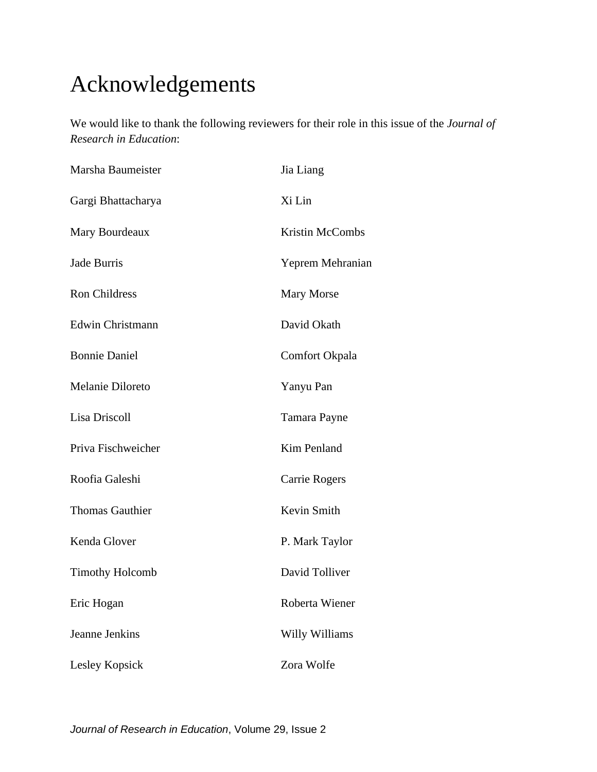## Acknowledgements

We would like to thank the following reviewers for their role in this issue of the *Journal of Research in Education*:

| Marsha Baumeister      | Jia Liang              |
|------------------------|------------------------|
| Gargi Bhattacharya     | Xi Lin                 |
| Mary Bourdeaux         | <b>Kristin McCombs</b> |
| Jade Burris            | Yeprem Mehranian       |
| <b>Ron Childress</b>   | <b>Mary Morse</b>      |
| Edwin Christmann       | David Okath            |
| <b>Bonnie Daniel</b>   | Comfort Okpala         |
| Melanie Diloreto       | Yanyu Pan              |
| Lisa Driscoll          | Tamara Payne           |
| Priva Fischweicher     | Kim Penland            |
| Roofia Galeshi         | Carrie Rogers          |
| <b>Thomas Gauthier</b> | Kevin Smith            |
| Kenda Glover           | P. Mark Taylor         |
| <b>Timothy Holcomb</b> | David Tolliver         |
| Eric Hogan             | Roberta Wiener         |
| Jeanne Jenkins         | Willy Williams         |
| Lesley Kopsick         | Zora Wolfe             |